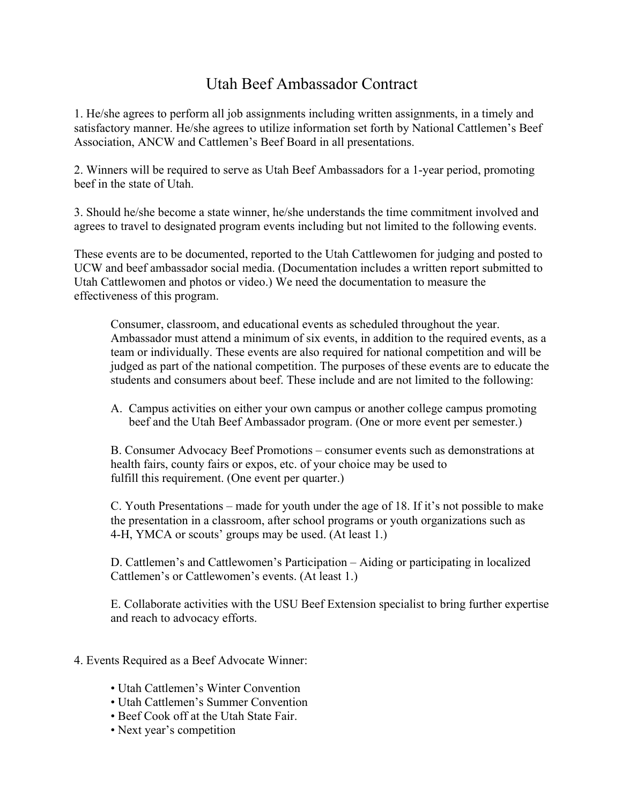## Utah Beef Ambassador Contract

1. He/she agrees to perform all job assignments including written assignments, in a timely and satisfactory manner. He/she agrees to utilize information set forth by National Cattlemen's Beef Association, ANCW and Cattlemen's Beef Board in all presentations.

2. Winners will be required to serve as Utah Beef Ambassadors for a 1-year period, promoting beef in the state of Utah.

3. Should he/she become a state winner, he/she understands the time commitment involved and agrees to travel to designated program events including but not limited to the following events.

These events are to be documented, reported to the Utah Cattlewomen for judging and posted to UCW and beef ambassador social media. (Documentation includes a written report submitted to Utah Cattlewomen and photos or video.) We need the documentation to measure the effectiveness of this program.

Consumer, classroom, and educational events as scheduled throughout the year. Ambassador must attend a minimum of six events, in addition to the required events, as a team or individually. These events are also required for national competition and will be judged as part of the national competition. The purposes of these events are to educate the students and consumers about beef. These include and are not limited to the following:

A. Campus activities on either your own campus or another college campus promoting beef and the Utah Beef Ambassador program. (One or more event per semester.)

B. Consumer Advocacy Beef Promotions – consumer events such as demonstrations at health fairs, county fairs or expos, etc. of your choice may be used to fulfill this requirement. (One event per quarter.)

C. Youth Presentations – made for youth under the age of 18. If it's not possible to make the presentation in a classroom, after school programs or youth organizations such as 4-H, YMCA or scouts' groups may be used. (At least 1.)

D. Cattlemen's and Cattlewomen's Participation – Aiding or participating in localized Cattlemen's or Cattlewomen's events. (At least 1.)

E. Collaborate activities with the USU Beef Extension specialist to bring further expertise and reach to advocacy efforts.

- 4. Events Required as a Beef Advocate Winner:
	- Utah Cattlemen's Winter Convention
	- Utah Cattlemen's Summer Convention
	- Beef Cook off at the Utah State Fair.
	- Next year's competition